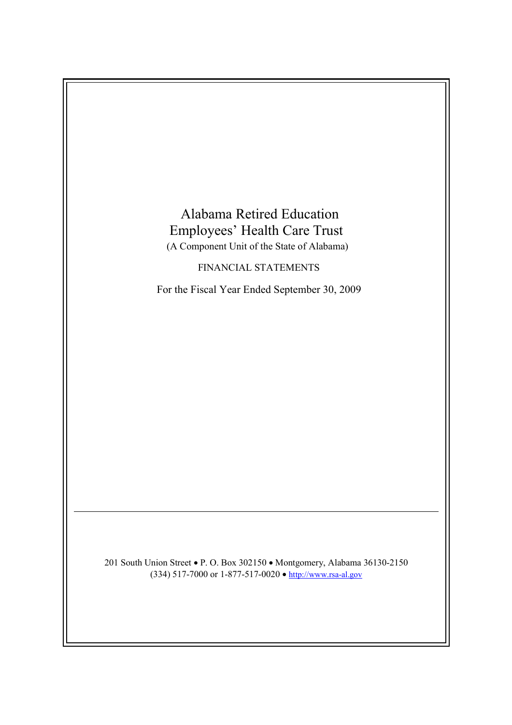

201 South Union Street • P. O. Box 302150 • Montgomery, Alabama 36130-2150 (334) 517-7000 or 1-877-517-0020  $\bullet$  http://www.rsa-al.gov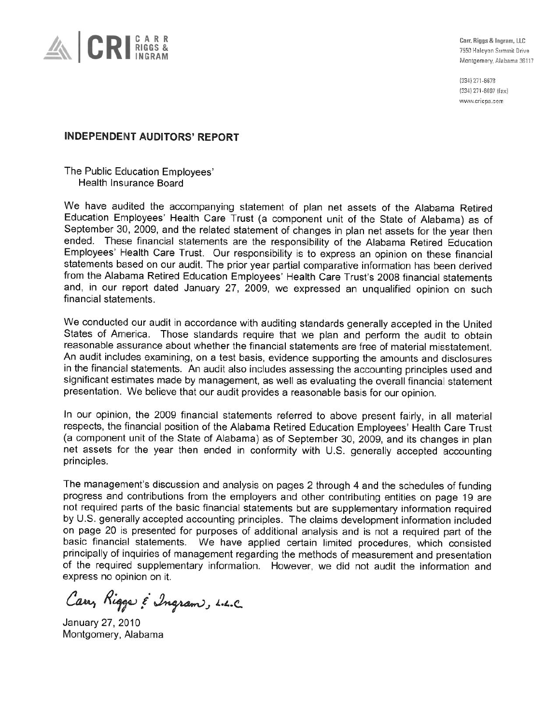

Carr, Riggs & Ingram, LLC 7550 Halcyon Summit Drive Montgomery, Alabama 36117

(334) 271-6678 (334) 271-6697 (fax) www.cricpa.com

## **INDEPENDENT AUDITORS' REPORT**

The Public Education Employees' Health Insurance Board

We have audited the accompanying statement of plan net assets of the Alabama Retired Education Employees' Health Care Trust (a component unit of the State of Alabama) as of September 30, 2009, and the related statement of changes in plan net assets for the year then ended. These financial statements are the responsibility of the Alabama Retired Education Employees' Health Care Trust. Our responsibility is to express an opinion on these financial statements based on our audit. The prior year partial comparative information has been derived from the Alabama Retired Education Employees' Health Care Trust's 2008 financial statements and, in our report dated January 27, 2009, we expressed an unqualified opinion on such financial statements.

We conducted our audit in accordance with auditing standards generally accepted in the United States of America. Those standards require that we plan and perform the audit to obtain reasonable assurance about whether the financial statements are free of material misstatement. An audit includes examining, on a test basis, evidence supporting the amounts and disclosures in the financial statements. An audit also includes assessing the accounting principles used and significant estimates made by management, as well as evaluating the overall financial statement presentation. We believe that our audit provides a reasonable basis for our opinion.

In our opinion, the 2009 financial statements referred to above present fairly, in all material respects, the financial position of the Alabama Retired Education Employees' Health Care Trust (a component unit of the State of Alabama) as of September 30, 2009, and its changes in plan net assets for the year then ended in conformity with U.S. generally accepted accounting principles.

The management's discussion and analysis on pages 2 through 4 and the schedules of funding progress and contributions from the employers and other contributing entities on page 19 are not required parts of the basic financial statements but are supplementary information required by U.S. generally accepted accounting principles. The claims development information included on page 20 is presented for purposes of additional analysis and is not a required part of the basic financial statements. We have applied certain limited procedures, which consisted principally of inquiries of management regarding the methods of measurement and presentation of the required supplementary information. However, we did not audit the information and express no opinion on it.

Carry Riggs & Ingram, L.L.C.

January 27, 2010 Montgomery, Alabama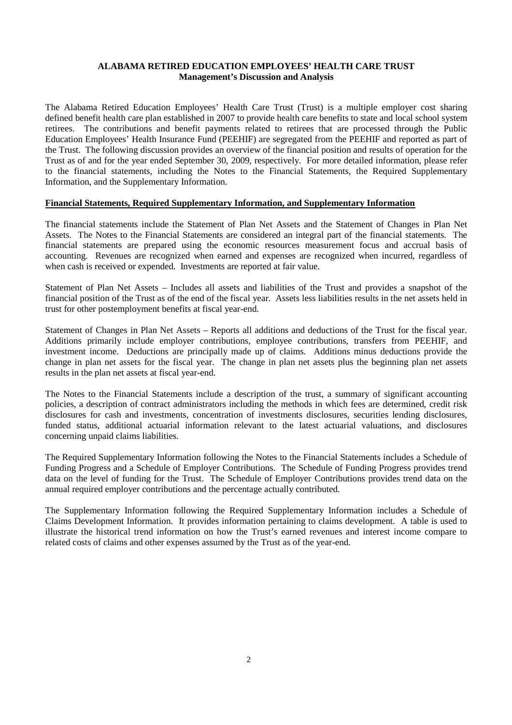## **ALABAMA RETIRED EDUCATION EMPLOYEES' HEALTH CARE TRUST Management's Discussion and Analysis**

The Alabama Retired Education Employees' Health Care Trust (Trust) is a multiple employer cost sharing defined benefit health care plan established in 2007 to provide health care benefits to state and local school system retirees. The contributions and benefit payments related to retirees that are processed through the Public Education Employees' Health Insurance Fund (PEEHIF) are segregated from the PEEHIF and reported as part of the Trust. The following discussion provides an overview of the financial position and results of operation for the Trust as of and for the year ended September 30, 2009, respectively. For more detailed information, please refer to the financial statements, including the Notes to the Financial Statements, the Required Supplementary Information, and the Supplementary Information.

## **Financial Statements, Required Supplementary Information, and Supplementary Information**

The financial statements include the Statement of Plan Net Assets and the Statement of Changes in Plan Net Assets. The Notes to the Financial Statements are considered an integral part of the financial statements. The financial statements are prepared using the economic resources measurement focus and accrual basis of accounting. Revenues are recognized when earned and expenses are recognized when incurred, regardless of when cash is received or expended. Investments are reported at fair value.

Statement of Plan Net Assets – Includes all assets and liabilities of the Trust and provides a snapshot of the financial position of the Trust as of the end of the fiscal year. Assets less liabilities results in the net assets held in trust for other postemployment benefits at fiscal year-end.

Statement of Changes in Plan Net Assets – Reports all additions and deductions of the Trust for the fiscal year. Additions primarily include employer contributions, employee contributions, transfers from PEEHIF, and investment income. Deductions are principally made up of claims. Additions minus deductions provide the change in plan net assets for the fiscal year. The change in plan net assets plus the beginning plan net assets results in the plan net assets at fiscal year-end.

The Notes to the Financial Statements include a description of the trust, a summary of significant accounting policies, a description of contract administrators including the methods in which fees are determined, credit risk disclosures for cash and investments, concentration of investments disclosures, securities lending disclosures, funded status, additional actuarial information relevant to the latest actuarial valuations, and disclosures concerning unpaid claims liabilities.

The Required Supplementary Information following the Notes to the Financial Statements includes a Schedule of Funding Progress and a Schedule of Employer Contributions. The Schedule of Funding Progress provides trend data on the level of funding for the Trust. The Schedule of Employer Contributions provides trend data on the annual required employer contributions and the percentage actually contributed.

The Supplementary Information following the Required Supplementary Information includes a Schedule of Claims Development Information. It provides information pertaining to claims development. A table is used to illustrate the historical trend information on how the Trust's earned revenues and interest income compare to related costs of claims and other expenses assumed by the Trust as of the year-end.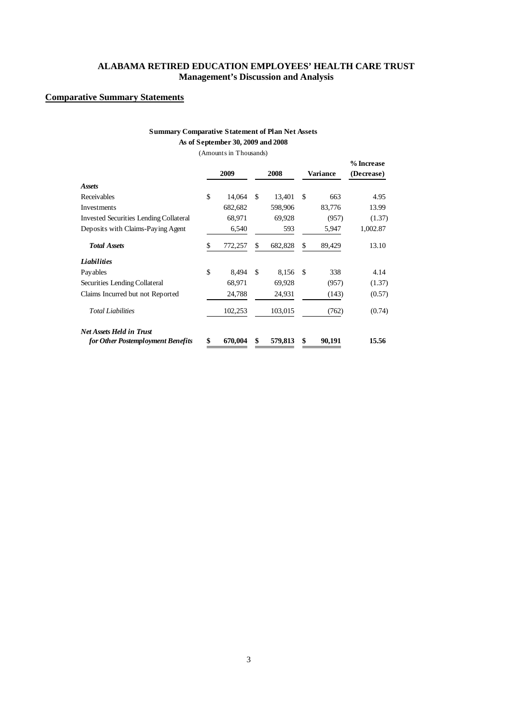## **ALABAMA RETIRED EDUCATION EMPLOYEES' HEALTH CARE TRUST Management's Discussion and Analysis**

## **Comparative Summary Statements**

## **Summary Comparative Statement of Plan Net Assets As of September 30, 2009 and 2008**

(Amounts in Thousands)

|                                               |      |         |      |         |              | % Increase |
|-----------------------------------------------|------|---------|------|---------|--------------|------------|
|                                               | 2009 |         | 2008 |         | Variance     | (Decrease) |
| <b>Assets</b>                                 |      |         |      |         |              |            |
| Receivables                                   | \$   | 14,064  | \$   | 13,401  | \$<br>663    | 4.95       |
| Investments                                   |      | 682,682 |      | 598,906 | 83,776       | 13.99      |
| <b>Invested Securities Lending Collateral</b> |      | 68,971  |      | 69,928  | (957)        | (1.37)     |
| Deposits with Claims-Paying Agent             |      | 6,540   |      | 593     | 5,947        | 1,002.87   |
| <b>Total Assets</b>                           | \$   | 772,257 | \$   | 682,828 | \$<br>89,429 | 13.10      |
| <b>Liabilities</b>                            |      |         |      |         |              |            |
| Payables                                      | \$   | 8,494   | \$   | 8,156   | \$<br>338    | 4.14       |
| Securities Lending Collateral                 |      | 68,971  |      | 69,928  | (957)        | (1.37)     |
| Claims Incurred but not Reported              |      | 24,788  |      | 24,931  | (143)        | (0.57)     |
| <b>Total Liabilities</b>                      |      | 102,253 |      | 103,015 | (762)        | (0.74)     |
| <b>Net Assets Held in Trust</b>               |      |         |      |         |              |            |
| for Other Postemployment Benefits             | \$   | 670,004 | \$   | 579,813 | \$<br>90,191 | 15.56      |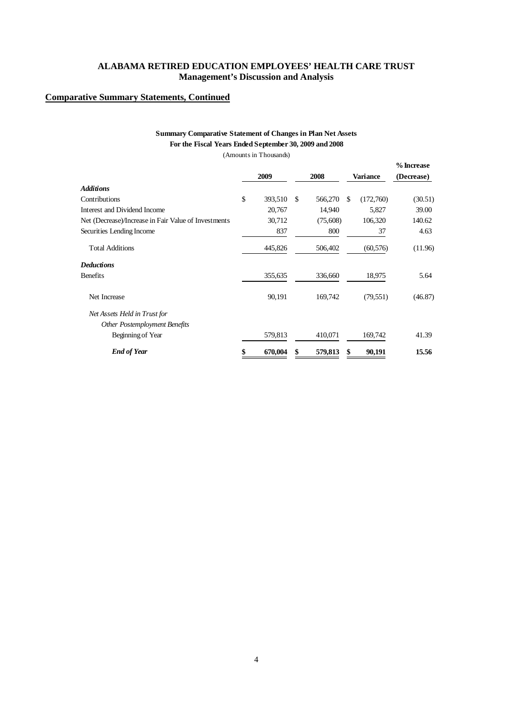## **ALABAMA RETIRED EDUCATION EMPLOYEES' HEALTH CARE TRUST Management's Discussion and Analysis**

## **Comparative Summary Statements, Continued**

## **Summary Comparative Statement of Changes in Plan Net Assets For the Fiscal Years Ended September 30, 2009 and 2008**

(Amounts in Thousands)

|                                                      | 2009          | 2008          |     | Variance  | % Increase<br>(Decrease) |
|------------------------------------------------------|---------------|---------------|-----|-----------|--------------------------|
| Additions                                            |               |               |     |           |                          |
| Contributions                                        | \$<br>393,510 | \$<br>566,270 | \$. | (172,760) | (30.51)                  |
| Interest and Dividend Income                         | 20,767        | 14,940        |     | 5,827     | 39.00                    |
| Net (Decrease)/Increase in Fair Value of Investments | 30,712        | (75,608)      |     | 106,320   | 140.62                   |
| Securities Lending Income                            | 837           | 800           |     | 37        | 4.63                     |
| <b>Total Additions</b>                               | 445,826       | 506,402       |     | (60, 576) | (11.96)                  |
| Deductions                                           |               |               |     |           |                          |
| Benefits                                             | 355,635       | 336,660       |     | 18,975    | 5.64                     |
| Net Increase                                         | 90,191        | 169,742       |     | (79, 551) | (46.87)                  |
| Net Assets Held in Trust for                         |               |               |     |           |                          |
| Other Postemployment Benefits                        |               |               |     |           |                          |
| Beginning of Year                                    | 579,813       | 410,071       |     | 169,742   | 41.39                    |
| <b>End of Year</b>                                   | \$<br>670,004 | \$<br>579,813 | \$  | 90,191    | 15.56                    |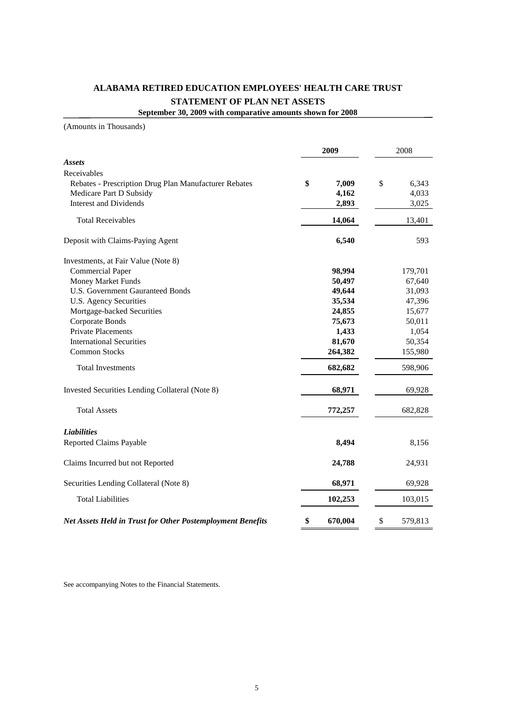# **ALABAMA RETIRED EDUCATION EMPLOYEES' HEALTH CARE TRUST STATEMENT OF PLAN NET ASSETS**

**September 30, 2009 with comparative amounts shown for 2008**

(Amounts in Thousands)

|                                                            | 2009          | 2008          |
|------------------------------------------------------------|---------------|---------------|
| <b>Assets</b>                                              |               |               |
| Receivables                                                |               |               |
| Rebates - Prescription Drug Plan Manufacturer Rebates      | \$<br>7,009   | \$<br>6,343   |
| Medicare Part D Subsidy                                    | 4,162         | 4,033         |
| <b>Interest and Dividends</b>                              | 2,893         | 3,025         |
| <b>Total Receivables</b>                                   | 14,064        | 13,401        |
| Deposit with Claims-Paying Agent                           | 6,540         | 593           |
| Investments, at Fair Value (Note 8)                        |               |               |
| <b>Commercial Paper</b>                                    | 98,994        | 179,701       |
| <b>Money Market Funds</b>                                  | 50,497        | 67,640        |
| <b>U.S. Government Gauranteed Bonds</b>                    | 49,644        | 31,093        |
| <b>U.S. Agency Securities</b>                              | 35,534        | 47,396        |
| Mortgage-backed Securities                                 | 24,855        | 15,677        |
| Corporate Bonds                                            | 75,673        | 50,011        |
| <b>Private Placements</b>                                  | 1,433         | 1,054         |
| <b>International Securities</b>                            | 81,670        | 50,354        |
| <b>Common Stocks</b>                                       | 264,382       | 155,980       |
| <b>Total Investments</b>                                   | 682,682       | 598,906       |
| Invested Securities Lending Collateral (Note 8)            | 68,971        | 69,928        |
| <b>Total Assets</b>                                        | 772,257       | 682,828       |
| <b>Liabilities</b>                                         |               |               |
| <b>Reported Claims Payable</b>                             | 8,494         | 8,156         |
| Claims Incurred but not Reported                           | 24,788        | 24,931        |
| Securities Lending Collateral (Note 8)                     | 68,971        | 69,928        |
| <b>Total Liabilities</b>                                   | 102,253       | 103,015       |
| Net Assets Held in Trust for Other Postemployment Benefits | \$<br>670,004 | \$<br>579,813 |

See accompanying Notes to the Financial Statements.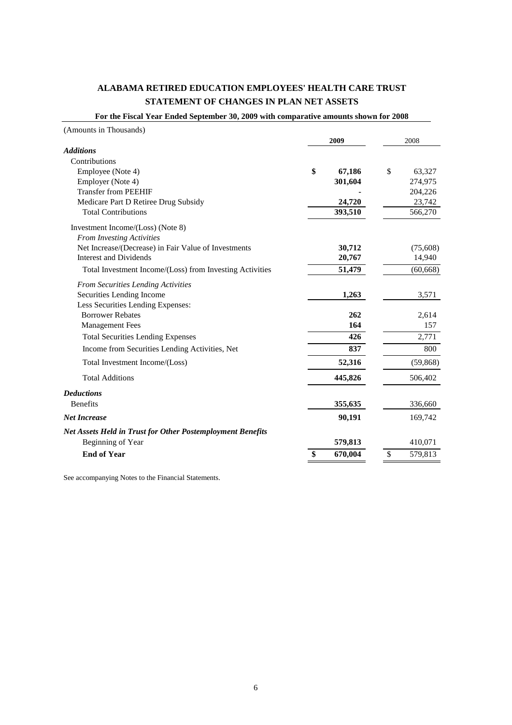## **ALABAMA RETIRED EDUCATION EMPLOYEES' HEALTH CARE TRUST STATEMENT OF CHANGES IN PLAN NET ASSETS**

**For the Fiscal Year Ended September 30, 2009 with comparative amounts shown for 2008**

| (Amounts in Thousands)                                            |               |               |
|-------------------------------------------------------------------|---------------|---------------|
|                                                                   | 2009          | 2008          |
| <b>Additions</b>                                                  |               |               |
| Contributions                                                     |               |               |
| Employee (Note 4)                                                 | \$<br>67,186  | \$<br>63,327  |
| Employer (Note 4)                                                 | 301,604       | 274,975       |
| <b>Transfer from PEEHIF</b>                                       |               | 204,226       |
| Medicare Part D Retiree Drug Subsidy                              | 24,720        | 23,742        |
| <b>Total Contributions</b>                                        | 393,510       | 566,270       |
| Investment Income/(Loss) (Note 8)                                 |               |               |
| <b>From Investing Activities</b>                                  |               |               |
| Net Increase/(Decrease) in Fair Value of Investments              | 30,712        | (75,608)      |
| <b>Interest and Dividends</b>                                     | 20,767        | 14,940        |
| Total Investment Income/(Loss) from Investing Activities          | 51,479        | (60, 668)     |
| From Securities Lending Activities                                |               |               |
| Securities Lending Income                                         | 1,263         | 3,571         |
| Less Securities Lending Expenses:                                 |               |               |
| <b>Borrower Rebates</b>                                           | 262           | 2,614         |
| <b>Management Fees</b>                                            | 164           | 157           |
| <b>Total Securities Lending Expenses</b>                          | 426           | 2,771         |
| Income from Securities Lending Activities, Net                    | 837           | 800           |
| Total Investment Income/(Loss)                                    | 52,316        | (59, 868)     |
| <b>Total Additions</b>                                            | 445,826       | 506,402       |
| <b>Deductions</b>                                                 |               |               |
| <b>Benefits</b>                                                   | 355,635       | 336,660       |
| <b>Net Increase</b>                                               | 90,191        | 169,742       |
| <b>Net Assets Held in Trust for Other Postemployment Benefits</b> |               |               |
| Beginning of Year                                                 | 579,813       | 410,071       |
| <b>End of Year</b>                                                | \$<br>670,004 | \$<br>579,813 |

See accompanying Notes to the Financial Statements.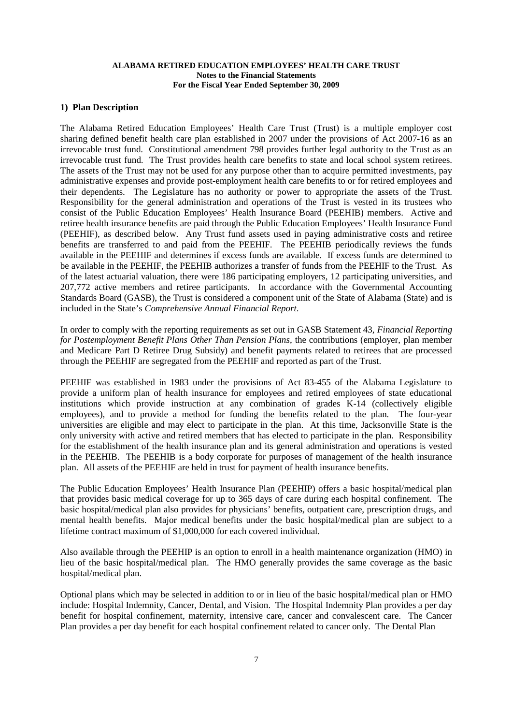#### **1) Plan Description**

The Alabama Retired Education Employees' Health Care Trust (Trust) is a multiple employer cost sharing defined benefit health care plan established in 2007 under the provisions of Act 2007-16 as an irrevocable trust fund. Constitutional amendment 798 provides further legal authority to the Trust as an irrevocable trust fund. The Trust provides health care benefits to state and local school system retirees. The assets of the Trust may not be used for any purpose other than to acquire permitted investments, pay administrative expenses and provide post-employment health care benefits to or for retired employees and their dependents. The Legislature has no authority or power to appropriate the assets of the Trust. Responsibility for the general administration and operations of the Trust is vested in its trustees who consist of the Public Education Employees' Health Insurance Board (PEEHIB) members. Active and retiree health insurance benefits are paid through the Public Education Employees' Health Insurance Fund (PEEHIF), as described below. Any Trust fund assets used in paying administrative costs and retiree benefits are transferred to and paid from the PEEHIF. The PEEHIB periodically reviews the funds available in the PEEHIF and determines if excess funds are available. If excess funds are determined to be available in the PEEHIF, the PEEHIB authorizes a transfer of funds from the PEEHIF to the Trust. As of the latest actuarial valuation, there were 186 participating employers, 12 participating universities, and 207,772 active members and retiree participants. In accordance with the Governmental Accounting Standards Board (GASB), the Trust is considered a component unit of the State of Alabama (State) and is included in the State's *Comprehensive Annual Financial Report*.

In order to comply with the reporting requirements as set out in GASB Statement 43, *Financial Reporting for Postemployment Benefit Plans Other Than Pension Plans*, the contributions (employer, plan member and Medicare Part D Retiree Drug Subsidy) and benefit payments related to retirees that are processed through the PEEHIF are segregated from the PEEHIF and reported as part of the Trust.

PEEHIF was established in 1983 under the provisions of Act 83-455 of the Alabama Legislature to provide a uniform plan of health insurance for employees and retired employees of state educational institutions which provide instruction at any combination of grades K-14 (collectively eligible employees), and to provide a method for funding the benefits related to the plan. The four-year universities are eligible and may elect to participate in the plan. At this time, Jacksonville State is the only university with active and retired members that has elected to participate in the plan. Responsibility for the establishment of the health insurance plan and its general administration and operations is vested in the PEEHIB. The PEEHIB is a body corporate for purposes of management of the health insurance plan. All assets of the PEEHIF are held in trust for payment of health insurance benefits.

The Public Education Employees' Health Insurance Plan (PEEHIP) offers a basic hospital/medical plan that provides basic medical coverage for up to 365 days of care during each hospital confinement. The basic hospital/medical plan also provides for physicians' benefits, outpatient care, prescription drugs, and mental health benefits. Major medical benefits under the basic hospital/medical plan are subject to a lifetime contract maximum of \$1,000,000 for each covered individual.

Also available through the PEEHIP is an option to enroll in a health maintenance organization (HMO) in lieu of the basic hospital/medical plan. The HMO generally provides the same coverage as the basic hospital/medical plan.

Optional plans which may be selected in addition to or in lieu of the basic hospital/medical plan or HMO include: Hospital Indemnity, Cancer, Dental, and Vision. The Hospital Indemnity Plan provides a per day benefit for hospital confinement, maternity, intensive care, cancer and convalescent care. The Cancer Plan provides a per day benefit for each hospital confinement related to cancer only. The Dental Plan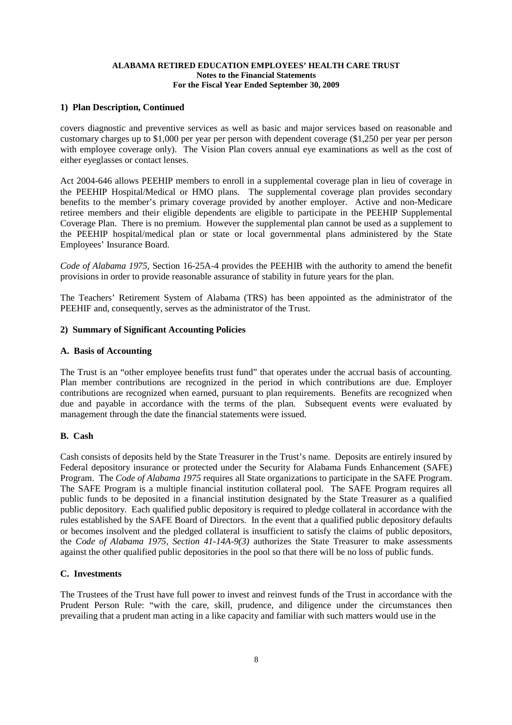#### **1) Plan Description, Continued**

covers diagnostic and preventive services as well as basic and major services based on reasonable and customary charges up to \$1,000 per year per person with dependent coverage (\$1,250 per year per person with employee coverage only). The Vision Plan covers annual eye examinations as well as the cost of either eyeglasses or contact lenses.

Act 2004-646 allows PEEHIP members to enroll in a supplemental coverage plan in lieu of coverage in the PEEHIP Hospital/Medical or HMO plans. The supplemental coverage plan provides secondary benefits to the member's primary coverage provided by another employer. Active and non-Medicare retiree members and their eligible dependents are eligible to participate in the PEEHIP Supplemental Coverage Plan. There is no premium. However the supplemental plan cannot be used as a supplement to the PEEHIP hospital/medical plan or state or local governmental plans administered by the State Employees' Insurance Board.

*Code of Alabama 1975*, Section 16-25A-4 provides the PEEHIB with the authority to amend the benefit provisions in order to provide reasonable assurance of stability in future years for the plan.

The Teachers' Retirement System of Alabama (TRS) has been appointed as the administrator of the PEEHIF and, consequently, serves as the administrator of the Trust.

#### **2) Summary of Significant Accounting Policies**

#### **A. Basis of Accounting**

The Trust is an "other employee benefits trust fund" that operates under the accrual basis of accounting. Plan member contributions are recognized in the period in which contributions are due. Employer contributions are recognized when earned, pursuant to plan requirements. Benefits are recognized when due and payable in accordance with the terms of the plan. Subsequent events were evaluated by management through the date the financial statements were issued.

#### **B. Cash**

Cash consists of deposits held by the State Treasurer in the Trust's name. Deposits are entirely insured by Federal depository insurance or protected under the Security for Alabama Funds Enhancement (SAFE) Program. The *Code of Alabama 1975* requires all State organizations to participate in the SAFE Program. The SAFE Program is a multiple financial institution collateral pool. The SAFE Program requires all public funds to be deposited in a financial institution designated by the State Treasurer as a qualified public depository. Each qualified public depository is required to pledge collateral in accordance with the rules established by the SAFE Board of Directors. In the event that a qualified public depository defaults or becomes insolvent and the pledged collateral is insufficient to satisfy the claims of public depositors, the *Code of Alabama 1975, Section 41-14A-9(3)* authorizes the State Treasurer to make assessments against the other qualified public depositories in the pool so that there will be no loss of public funds.

## **C. Investments**

The Trustees of the Trust have full power to invest and reinvest funds of the Trust in accordance with the Prudent Person Rule: "with the care, skill, prudence, and diligence under the circumstances then prevailing that a prudent man acting in a like capacity and familiar with such matters would use in the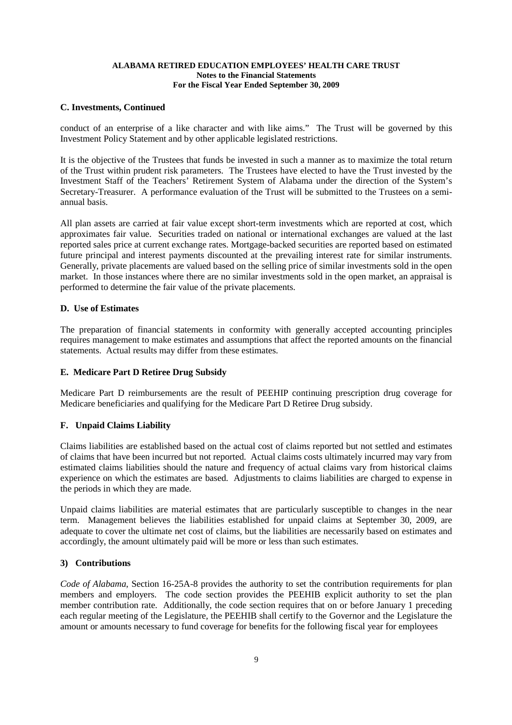## **C. Investments, Continued**

conduct of an enterprise of a like character and with like aims." The Trust will be governed by this Investment Policy Statement and by other applicable legislated restrictions.

It is the objective of the Trustees that funds be invested in such a manner as to maximize the total return of the Trust within prudent risk parameters. The Trustees have elected to have the Trust invested by the Investment Staff of the Teachers' Retirement System of Alabama under the direction of the System's Secretary-Treasurer. A performance evaluation of the Trust will be submitted to the Trustees on a semiannual basis.

All plan assets are carried at fair value except short-term investments which are reported at cost, which approximates fair value. Securities traded on national or international exchanges are valued at the last reported sales price at current exchange rates. Mortgage-backed securities are reported based on estimated future principal and interest payments discounted at the prevailing interest rate for similar instruments. Generally, private placements are valued based on the selling price of similar investments sold in the open market. In those instances where there are no similar investments sold in the open market, an appraisal is performed to determine the fair value of the private placements.

## **D. Use of Estimates**

The preparation of financial statements in conformity with generally accepted accounting principles requires management to make estimates and assumptions that affect the reported amounts on the financial statements. Actual results may differ from these estimates.

## **E. Medicare Part D Retiree Drug Subsidy**

Medicare Part D reimbursements are the result of PEEHIP continuing prescription drug coverage for Medicare beneficiaries and qualifying for the Medicare Part D Retiree Drug subsidy.

## **F. Unpaid Claims Liability**

Claims liabilities are established based on the actual cost of claims reported but not settled and estimates of claims that have been incurred but not reported. Actual claims costs ultimately incurred may vary from estimated claims liabilities should the nature and frequency of actual claims vary from historical claims experience on which the estimates are based. Adjustments to claims liabilities are charged to expense in the periods in which they are made.

Unpaid claims liabilities are material estimates that are particularly susceptible to changes in the near term. Management believes the liabilities established for unpaid claims at September 30, 2009, are adequate to cover the ultimate net cost of claims, but the liabilities are necessarily based on estimates and accordingly, the amount ultimately paid will be more or less than such estimates.

## **3) Contributions**

*Code of Alabama*, Section 16-25A-8 provides the authority to set the contribution requirements for plan members and employers. The code section provides the PEEHIB explicit authority to set the plan member contribution rate. Additionally, the code section requires that on or before January 1 preceding each regular meeting of the Legislature, the PEEHIB shall certify to the Governor and the Legislature the amount or amounts necessary to fund coverage for benefits for the following fiscal year for employees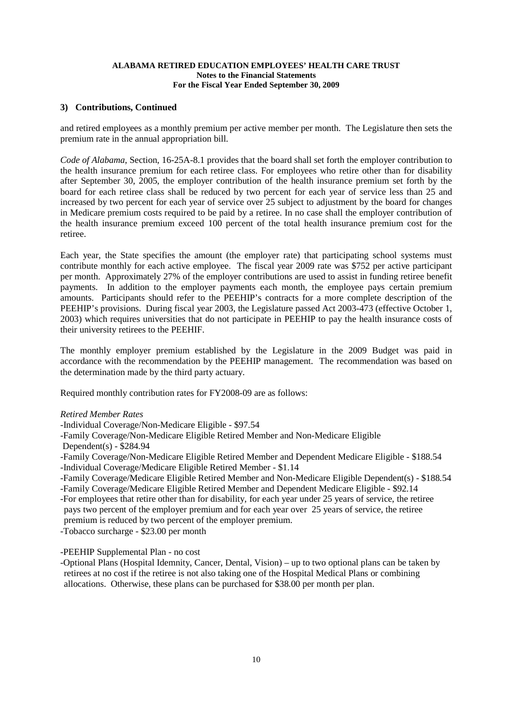## **3) Contributions, Continued**

and retired employees as a monthly premium per active member per month. The Legislature then sets the premium rate in the annual appropriation bill.

*Code of Alabama*, Section, 16-25A-8.1 provides that the board shall set forth the employer contribution to the health insurance premium for each retiree class. For employees who retire other than for disability after September 30, 2005, the employer contribution of the health insurance premium set forth by the board for each retiree class shall be reduced by two percent for each year of service less than 25 and increased by two percent for each year of service over 25 subject to adjustment by the board for changes in Medicare premium costs required to be paid by a retiree. In no case shall the employer contribution of the health insurance premium exceed 100 percent of the total health insurance premium cost for the retiree.

Each year, the State specifies the amount (the employer rate) that participating school systems must contribute monthly for each active employee. The fiscal year 2009 rate was \$752 per active participant per month. Approximately 27% of the employer contributions are used to assist in funding retiree benefit payments. In addition to the employer payments each month, the employee pays certain premium amounts. Participants should refer to the PEEHIP's contracts for a more complete description of the PEEHIP's provisions. During fiscal year 2003, the Legislature passed Act 2003-473 (effective October 1, 2003) which requires universities that do not participate in PEEHIP to pay the health insurance costs of their university retirees to the PEEHIF.

The monthly employer premium established by the Legislature in the 2009 Budget was paid in accordance with the recommendation by the PEEHIP management. The recommendation was based on the determination made by the third party actuary.

Required monthly contribution rates for FY2008-09 are as follows:

#### *Retired Member Rates*

- -Individual Coverage/Non-Medicare Eligible \$97.54
- -Family Coverage/Non-Medicare Eligible Retired Member and Non-Medicare Eligible
- Dependent(s) \$284.94
- -Family Coverage/Non-Medicare Eligible Retired Member and Dependent Medicare Eligible \$188.54
- -Individual Coverage/Medicare Eligible Retired Member \$1.14
- -Family Coverage/Medicare Eligible Retired Member and Non-Medicare Eligible Dependent(s) \$188.54
- -Family Coverage/Medicare Eligible Retired Member and Dependent Medicare Eligible \$92.14 -For employees that retire other than for disability, for each year under 25 years of service, the retiree pays two percent of the employer premium and for each year over 25 years of service, the retiree
- premium is reduced by two percent of the employer premium.
- -Tobacco surcharge \$23.00 per month

-PEEHIP Supplemental Plan - no cost

-Optional Plans (Hospital Idemnity, Cancer, Dental, Vision) – up to two optional plans can be taken by retirees at no cost if the retiree is not also taking one of the Hospital Medical Plans or combining allocations. Otherwise, these plans can be purchased for \$38.00 per month per plan.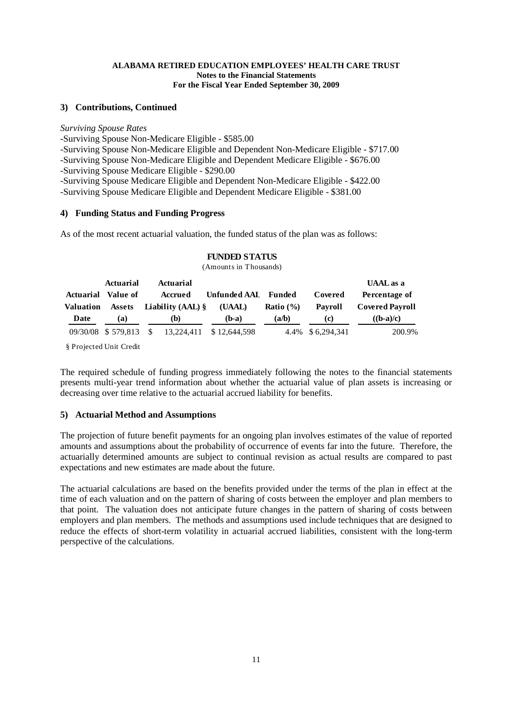## **3) Contributions, Continued**

#### *Surviving Spouse Rates*

-Surviving Spouse Non-Medicare Eligible - \$585.00 -Surviving Spouse Non-Medicare Eligible and Dependent Non-Medicare Eligible - \$717.00 -Surviving Spouse Non-Medicare Eligible and Dependent Medicare Eligible - \$676.00 -Surviving Spouse Medicare Eligible - \$290.00 -Surviving Spouse Medicare Eligible and Dependent Non-Medicare Eligible - \$422.00 -Surviving Spouse Medicare Eligible and Dependent Medicare Eligible - \$381.00

## **4) Funding Status and Funding Progress**

As of the most recent actuarial valuation, the funded status of the plan was as follows:

| <b>Actuarial</b> Value of<br>Valuation<br>Date | Actuarial<br><b>Assets</b><br>(a) |              | <b>Actuarial</b><br>Accrued<br><b>Liability (AAL)</b> $\$<br>(b) | Unfunded AAL Funded<br>(UAAL)<br>$(b-a)$ | <b>Ratio</b> $(\%)$<br>(a/b) | Covered<br>Pavroll<br>(c) | <b>UAAL</b> as a<br>Percentage of<br><b>Covered Payroll</b><br>$((b-a)/c)$ |
|------------------------------------------------|-----------------------------------|--------------|------------------------------------------------------------------|------------------------------------------|------------------------------|---------------------------|----------------------------------------------------------------------------|
|                                                | 09/30/08 \$579.813                | <sup>S</sup> |                                                                  | 13.224.411 \$12.644.598                  |                              | 4.4% \$6,294,341          | 200.9%                                                                     |

## **FUNDED STATUS**

(Amounts in Thousands)

§ Projected Unit Credit

The required schedule of funding progress immediately following the notes to the financial statements presents multi-year trend information about whether the actuarial value of plan assets is increasing or decreasing over time relative to the actuarial accrued liability for benefits.

#### **5) Actuarial Method and Assumptions**

The projection of future benefit payments for an ongoing plan involves estimates of the value of reported amounts and assumptions about the probability of occurrence of events far into the future. Therefore, the actuarially determined amounts are subject to continual revision as actual results are compared to past expectations and new estimates are made about the future.

The actuarial calculations are based on the benefits provided under the terms of the plan in effect at the time of each valuation and on the pattern of sharing of costs between the employer and plan members to that point. The valuation does not anticipate future changes in the pattern of sharing of costs between employers and plan members. The methods and assumptions used include techniques that are designed to reduce the effects of short-term volatility in actuarial accrued liabilities, consistent with the long-term perspective of the calculations.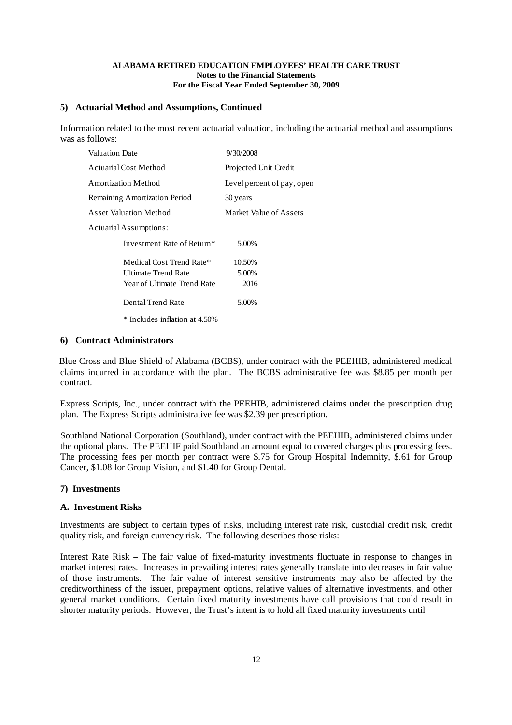#### **5) Actuarial Method and Assumptions, Continued**

Information related to the most recent actuarial valuation, including the actuarial method and assumptions was as follows:

| Valuation Date                | 9/30/2008                  |  |  |  |  |
|-------------------------------|----------------------------|--|--|--|--|
| Actuarial Cost Method         | Projected Unit Credit      |  |  |  |  |
| Amortization Method           | Level percent of pay, open |  |  |  |  |
| Remaining Amortization Period | 30 years                   |  |  |  |  |
| Asset Valuation Method        | Market Value of Assets     |  |  |  |  |
| Actuarial Assumptions:        |                            |  |  |  |  |
| Investment Rate of Return*    | 5.00%                      |  |  |  |  |
| Medical Cost Trend Rate*      | 10.50%                     |  |  |  |  |
| Ultimate Trend Rate           | 5.00%                      |  |  |  |  |
| Year of Ultimate Trend Rate   | 2016                       |  |  |  |  |
| Dental Trend Rate             | 5.00%                      |  |  |  |  |
| * Includes inflation at 4.50% |                            |  |  |  |  |

#### **6) Contract Administrators**

Blue Cross and Blue Shield of Alabama (BCBS), under contract with the PEEHIB, administered medical claims incurred in accordance with the plan. The BCBS administrative fee was \$8.85 per month per contract.

Express Scripts, Inc., under contract with the PEEHIB, administered claims under the prescription drug plan. The Express Scripts administrative fee was \$2.39 per prescription.

Southland National Corporation (Southland), under contract with the PEEHIB, administered claims under the optional plans. The PEEHIF paid Southland an amount equal to covered charges plus processing fees. The processing fees per month per contract were \$.75 for Group Hospital Indemnity, \$.61 for Group Cancer, \$1.08 for Group Vision, and \$1.40 for Group Dental.

#### **7) Investments**

#### **A. Investment Risks**

Investments are subject to certain types of risks, including interest rate risk, custodial credit risk, credit quality risk, and foreign currency risk. The following describes those risks:

Interest Rate Risk – The fair value of fixed-maturity investments fluctuate in response to changes in market interest rates. Increases in prevailing interest rates generally translate into decreases in fair value of those instruments. The fair value of interest sensitive instruments may also be affected by the creditworthiness of the issuer, prepayment options, relative values of alternative investments, and other general market conditions. Certain fixed maturity investments have call provisions that could result in shorter maturity periods. However, the Trust's intent is to hold all fixed maturity investments until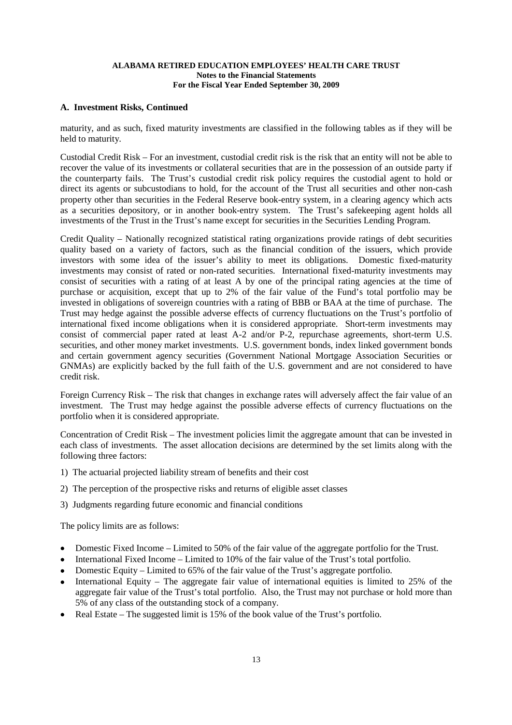## **A. Investment Risks, Continued**

maturity, and as such, fixed maturity investments are classified in the following tables as if they will be held to maturity.

Custodial Credit Risk – For an investment, custodial credit risk is the risk that an entity will not be able to recover the value of its investments or collateral securities that are in the possession of an outside party if the counterparty fails. The Trust's custodial credit risk policy requires the custodial agent to hold or direct its agents or subcustodians to hold, for the account of the Trust all securities and other non-cash property other than securities in the Federal Reserve book-entry system, in a clearing agency which acts as a securities depository, or in another book-entry system. The Trust's safekeeping agent holds all investments of the Trust in the Trust's name except for securities in the Securities Lending Program.

Credit Quality – Nationally recognized statistical rating organizations provide ratings of debt securities quality based on a variety of factors, such as the financial condition of the issuers, which provide investors with some idea of the issuer's ability to meet its obligations. Domestic fixed-maturity investments may consist of rated or non-rated securities. International fixed-maturity investments may consist of securities with a rating of at least A by one of the principal rating agencies at the time of purchase or acquisition, except that up to 2% of the fair value of the Fund's total portfolio may be invested in obligations of sovereign countries with a rating of BBB or BAA at the time of purchase. The Trust may hedge against the possible adverse effects of currency fluctuations on the Trust's portfolio of international fixed income obligations when it is considered appropriate. Short-term investments may consist of commercial paper rated at least A-2 and/or P-2, repurchase agreements, short-term U.S. securities, and other money market investments. U.S. government bonds, index linked government bonds and certain government agency securities (Government National Mortgage Association Securities or GNMAs) are explicitly backed by the full faith of the U.S. government and are not considered to have credit risk.

Foreign Currency Risk – The risk that changes in exchange rates will adversely affect the fair value of an investment. The Trust may hedge against the possible adverse effects of currency fluctuations on the portfolio when it is considered appropriate.

Concentration of Credit Risk – The investment policies limit the aggregate amount that can be invested in each class of investments. The asset allocation decisions are determined by the set limits along with the following three factors:

- 1) The actuarial projected liability stream of benefits and their cost
- 2) The perception of the prospective risks and returns of eligible asset classes
- 3) Judgments regarding future economic and financial conditions

The policy limits are as follows:

- Domestic Fixed Income Limited to 50% of the fair value of the aggregate portfolio for the Trust.
- International Fixed Income Limited to 10% of the fair value of the Trust's total portfolio.
- Domestic Equity Limited to  $65\%$  of the fair value of the Trust's aggregate portfolio.
- International Equity The aggregate fair value of international equities is limited to 25% of the aggregate fair value of the Trust's total portfolio. Also, the Trust may not purchase or hold more than 5% of any class of the outstanding stock of a company.
- Real Estate The suggested limit is  $15\%$  of the book value of the Trust's portfolio.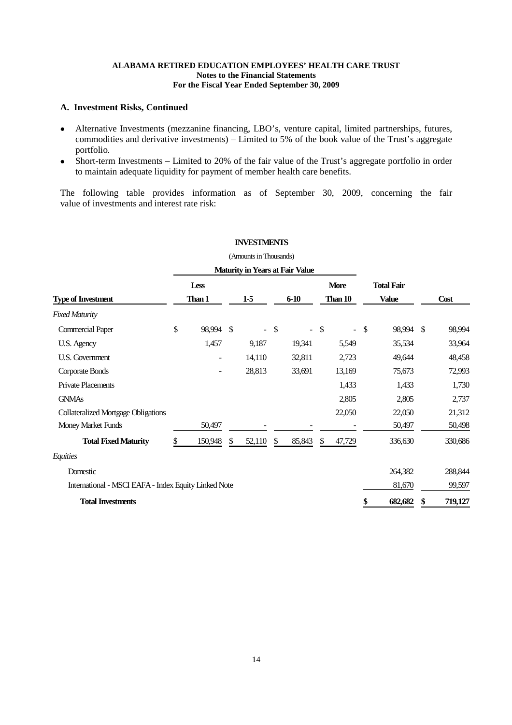## **A. Investment Risks, Continued**

- Alternative Investments (mezzanine financing, LBO's, venture capital, limited partnerships, futures, commodities and derivative investments) – Limited to 5% of the book value of the Trust's aggregate portfolio.
- Short-term Investments Limited to 20% of the fair value of the Trust's aggregate portfolio in order to maintain adequate liquidity for payment of member health care benefits.

The following table provides information as of September 30, 2009, concerning the fair value of investments and interest rate risk:

|                                                      |     |             |     | (Amounts in Thousands) |               |                                        |                      |                   |               |
|------------------------------------------------------|-----|-------------|-----|------------------------|---------------|----------------------------------------|----------------------|-------------------|---------------|
|                                                      |     |             |     |                        |               | <b>Maturity in Years at Fair Value</b> |                      |                   |               |
|                                                      |     | <b>Less</b> |     |                        |               |                                        | <b>More</b>          | <b>Total Fair</b> |               |
| <b>Type of Investment</b>                            |     | Than 1      |     | $1-5$                  |               | $6 - 10$                               | Than 10              | <b>Value</b>      | Cost          |
| <b>Fixed Maturity</b>                                |     |             |     |                        |               |                                        |                      |                   |               |
| <b>Commercial Paper</b>                              | \$  | 98,994      | -\$ | $\blacksquare$         | $\frac{1}{2}$ |                                        | \$<br>$\blacksquare$ | \$<br>98,994 \$   | 98,994        |
| U.S. Agency                                          |     | 1,457       |     | 9,187                  |               | 19,341                                 | 5,549                | 35,534            | 33,964        |
| U.S. Government                                      |     |             |     | 14,110                 |               | 32,811                                 | 2,723                | 49,644            | 48,458        |
| Corporate Bonds                                      |     |             |     | 28,813                 |               | 33,691                                 | 13,169               | 75,673            | 72,993        |
| <b>Private Placements</b>                            |     |             |     |                        |               |                                        | 1,433                | 1,433             | 1,730         |
| <b>GNMAs</b>                                         |     |             |     |                        |               |                                        | 2,805                | 2,805             | 2,737         |
| <b>Collateralized Mortgage Obligations</b>           |     |             |     |                        |               |                                        | 22,050               | 22,050            | 21,312        |
| Money Market Funds                                   |     | 50,497      |     |                        |               |                                        |                      | 50,497            | 50,498        |
| <b>Total Fixed Maturity</b>                          | \$. | 150,948     | \$  | 52,110                 | \$            | 85,843                                 | \$<br>47,729         | 336,630           | 330,686       |
| Equities                                             |     |             |     |                        |               |                                        |                      |                   |               |
| Domestic                                             |     |             |     |                        |               |                                        |                      | 264,382           | 288,844       |
| International - MSCI EAFA - Index Equity Linked Note |     |             |     |                        |               |                                        |                      | 81,670            | 99,597        |
| <b>Total Investments</b>                             |     |             |     |                        |               |                                        |                      | \$<br>682,682     | \$<br>719,127 |

## **INVESTMENTS**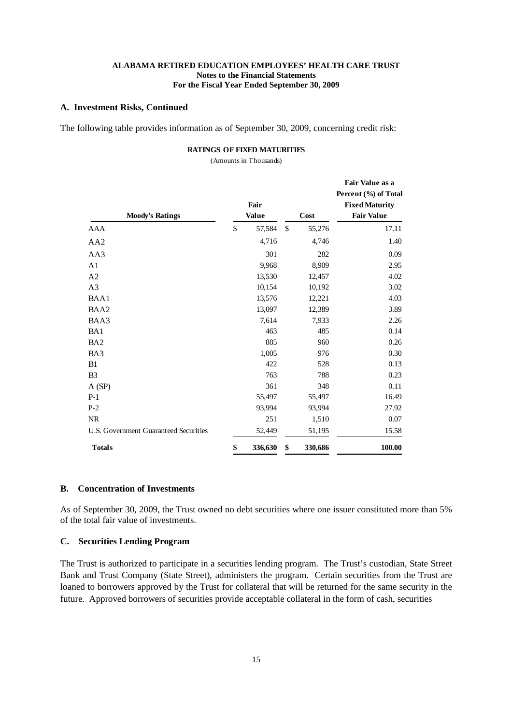#### **A. Investment Risks, Continued**

The following table provides information as of September 30, 2009, concerning credit risk:

#### **RATINGS OF FIXED MATURITIES**

(Amounts in Thousands)

| <b>Moody's Ratings</b>                | Fair<br><b>Value</b> | Cost          | Fair Value as a<br>Percent (%) of Total<br><b>Fixed Maturity</b><br><b>Fair Value</b> |  |  |
|---------------------------------------|----------------------|---------------|---------------------------------------------------------------------------------------|--|--|
| AAA                                   | \$<br>57,584         | \$<br>55,276  | 17.11                                                                                 |  |  |
| AA <sub>2</sub>                       | 4,716                | 4,746         | 1.40                                                                                  |  |  |
| AA3                                   | 301                  | 282           | 0.09                                                                                  |  |  |
| A <sub>1</sub>                        | 9,968                | 8,909         | 2.95                                                                                  |  |  |
| A2                                    | 13,530               | 12,457        | 4.02                                                                                  |  |  |
| A3                                    | 10,154               | 10,192        | 3.02                                                                                  |  |  |
| BAA1                                  | 13,576               | 12,221        | 4.03                                                                                  |  |  |
| BAA2                                  | 13,097               | 12,389        | 3.89                                                                                  |  |  |
| BAA3                                  | 7,614                | 7,933         | 2.26                                                                                  |  |  |
| BA1                                   | 463                  | 485           | 0.14                                                                                  |  |  |
| BA <sub>2</sub>                       | 885                  | 960           | 0.26                                                                                  |  |  |
| BA3                                   | 1,005                | 976           | 0.30                                                                                  |  |  |
| B1                                    | 422                  | 528           | 0.13                                                                                  |  |  |
| B <sub>3</sub>                        | 763                  | 788           | 0.23                                                                                  |  |  |
| A(SP)                                 | 361                  | 348           | 0.11                                                                                  |  |  |
| $P-1$                                 | 55,497               | 55,497        | 16.49                                                                                 |  |  |
| $P-2$                                 | 93,994               | 93,994        | 27.92                                                                                 |  |  |
| <b>NR</b>                             | 251                  | 1,510         | 0.07                                                                                  |  |  |
| U.S. Government Guaranteed Securities | 52,449               | 51,195        | 15.58                                                                                 |  |  |
| <b>Totals</b>                         | \$<br>336,630        | \$<br>330,686 | 100.00                                                                                |  |  |

## **B. Concentration of Investments**

As of September 30, 2009, the Trust owned no debt securities where one issuer constituted more than 5% of the total fair value of investments.

## **C. Securities Lending Program**

The Trust is authorized to participate in a securities lending program. The Trust's custodian, State Street Bank and Trust Company (State Street), administers the program. Certain securities from the Trust are loaned to borrowers approved by the Trust for collateral that will be returned for the same security in the future. Approved borrowers of securities provide acceptable collateral in the form of cash, securities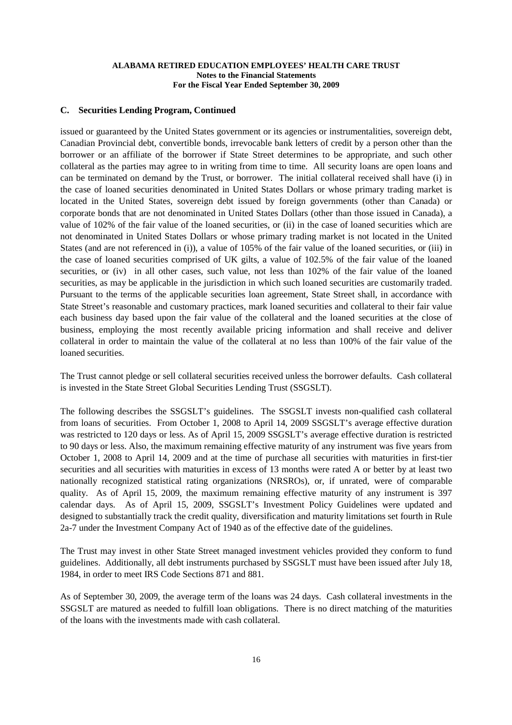#### **C. Securities Lending Program, Continued**

issued or guaranteed by the United States government or its agencies or instrumentalities, sovereign debt, Canadian Provincial debt, convertible bonds, irrevocable bank letters of credit by a person other than the borrower or an affiliate of the borrower if State Street determines to be appropriate, and such other collateral as the parties may agree to in writing from time to time. All security loans are open loans and can be terminated on demand by the Trust, or borrower. The initial collateral received shall have (i) in the case of loaned securities denominated in United States Dollars or whose primary trading market is located in the United States, sovereign debt issued by foreign governments (other than Canada) or corporate bonds that are not denominated in United States Dollars (other than those issued in Canada), a value of 102% of the fair value of the loaned securities, or (ii) in the case of loaned securities which are not denominated in United States Dollars or whose primary trading market is not located in the United States (and are not referenced in (i)), a value of 105% of the fair value of the loaned securities, or (iii) in the case of loaned securities comprised of UK gilts, a value of 102.5% of the fair value of the loaned securities, or (iv) in all other cases, such value, not less than 102% of the fair value of the loaned securities, as may be applicable in the jurisdiction in which such loaned securities are customarily traded. Pursuant to the terms of the applicable securities loan agreement, State Street shall, in accordance with State Street's reasonable and customary practices, mark loaned securities and collateral to their fair value each business day based upon the fair value of the collateral and the loaned securities at the close of business, employing the most recently available pricing information and shall receive and deliver collateral in order to maintain the value of the collateral at no less than 100% of the fair value of the loaned securities.

The Trust cannot pledge or sell collateral securities received unless the borrower defaults. Cash collateral is invested in the State Street Global Securities Lending Trust (SSGSLT).

The following describes the SSGSLT's guidelines. The SSGSLT invests non-qualified cash collateral from loans of securities. From October 1, 2008 to April 14, 2009 SSGSLT's average effective duration was restricted to 120 days or less. As of April 15, 2009 SSGSLT's average effective duration is restricted to 90 days or less. Also, the maximum remaining effective maturity of any instrument was five years from October 1, 2008 to April 14, 2009 and at the time of purchase all securities with maturities in first-tier securities and all securities with maturities in excess of 13 months were rated A or better by at least two nationally recognized statistical rating organizations (NRSROs), or, if unrated, were of comparable quality. As of April 15, 2009, the maximum remaining effective maturity of any instrument is 397 calendar days. As of April 15, 2009, SSGSLT's Investment Policy Guidelines were updated and designed to substantially track the credit quality, diversification and maturity limitations set fourth in Rule 2a-7 under the Investment Company Act of 1940 as of the effective date of the guidelines.

The Trust may invest in other State Street managed investment vehicles provided they conform to fund guidelines. Additionally, all debt instruments purchased by SSGSLT must have been issued after July 18, 1984, in order to meet IRS Code Sections 871 and 881.

As of September 30, 2009, the average term of the loans was 24 days. Cash collateral investments in the SSGSLT are matured as needed to fulfill loan obligations. There is no direct matching of the maturities of the loans with the investments made with cash collateral.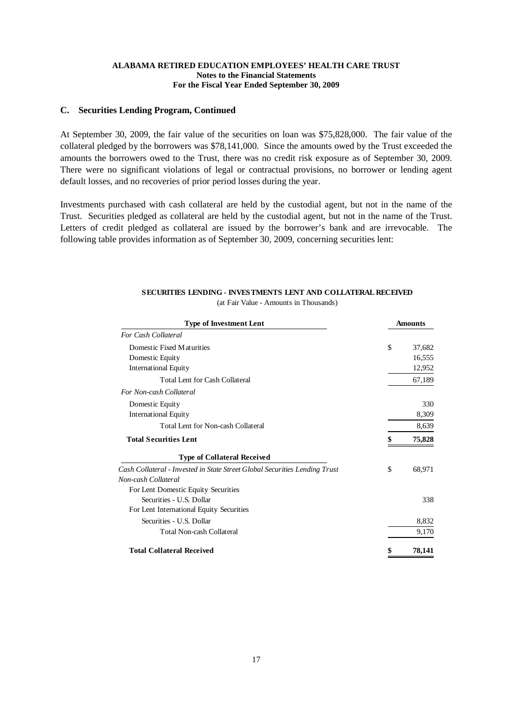## **C. Securities Lending Program, Continued**

At September 30, 2009, the fair value of the securities on loan was \$75,828,000. The fair value of the collateral pledged by the borrowers was \$78,141,000. Since the amounts owed by the Trust exceeded the amounts the borrowers owed to the Trust, there was no credit risk exposure as of September 30, 2009. There were no significant violations of legal or contractual provisions, no borrower or lending agent default losses, and no recoveries of prior period losses during the year.

Investments purchased with cash collateral are held by the custodial agent, but not in the name of the Trust. Securities pledged as collateral are held by the custodial agent, but not in the name of the Trust. Letters of credit pledged as collateral are issued by the borrower's bank and are irrevocable. The following table provides information as of September 30, 2009, concerning securities lent:

| <b>Type of Investment Lent</b>                                             | <b>Amounts</b> |        |  |
|----------------------------------------------------------------------------|----------------|--------|--|
| <b>For Cash Collateral</b>                                                 |                |        |  |
| Domestic Fixed Maturities                                                  | \$             | 37,682 |  |
| Domestic Equity                                                            |                | 16,555 |  |
| <b>International Equity</b>                                                |                | 12,952 |  |
| <b>Total Lent for Cash Collateral</b>                                      |                | 67,189 |  |
| For Non-cash Collateral                                                    |                |        |  |
| Domestic Equity                                                            |                | 330    |  |
| <b>International Equity</b>                                                |                | 8,309  |  |
| Total Lent for Non-cash Collateral                                         |                | 8,639  |  |
| <b>Total Securities Lent</b>                                               |                | 75,828 |  |
| <b>Type of Collateral Received</b>                                         |                |        |  |
| Cash Collateral - Invested in State Street Global Securities Lending Trust | \$             | 68,971 |  |
| Non-cash Collateral                                                        |                |        |  |
| For Lent Domestic Equity Securities                                        |                |        |  |
| Securities - U.S. Dollar                                                   |                | 338    |  |
| For Lent International Equity Securities                                   |                |        |  |
| Securities - U.S. Dollar                                                   |                | 8,832  |  |
| <b>Total Non-cash Collateral</b>                                           |                | 9,170  |  |
| <b>Total Collateral Received</b>                                           | \$             | 78,141 |  |

#### **SECURITIES LENDING - INVESTMENTS LENT AND COLLATERAL RECEIVED** (at Fair Value - Amounts in Thousands)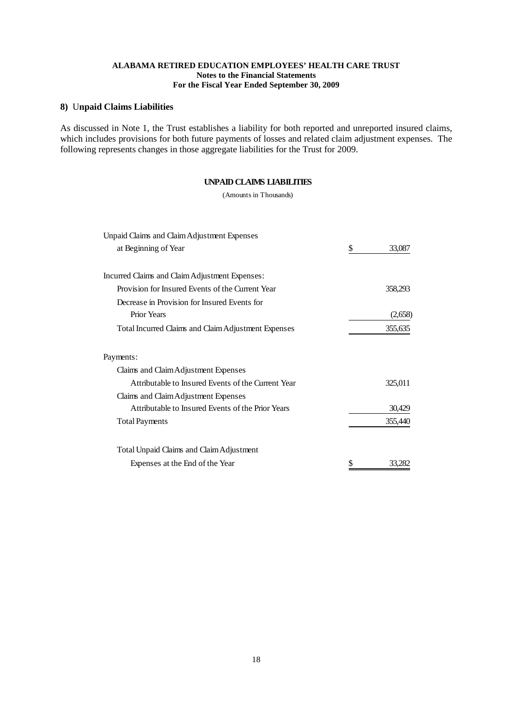## **8)** U**npaid Claims Liabilities**

As discussed in Note 1, the Trust establishes a liability for both reported and unreported insured claims, which includes provisions for both future payments of losses and related claim adjustment expenses. The following represents changes in those aggregate liabilities for the Trust for 2009.

#### **UNPAID CLAIMS LIABILITIES**

(Amounts in Thousands)

| Unpaid Claims and Claim Adjustment Expenses         |              |
|-----------------------------------------------------|--------------|
| at Beginning of Year                                | \$<br>33,087 |
| Incurred Claims and Claim Adjustment Expenses:      |              |
| Provision for Insured Events of the Current Year    | 358,293      |
| Decrease in Provision for Insured Events for        |              |
| <b>Prior Years</b>                                  | (2,658)      |
| Total Incurred Claims and Claim Adjustment Expenses | 355,635      |
| Payments:                                           |              |
| Claims and Claim Adjustment Expenses                |              |
| Attributable to Insured Events of the Current Year  | 325,011      |
| Claims and Claim Adjustment Expenses                |              |
| Attributable to Insured Events of the Prior Years   | 30,429       |
| <b>Total Payments</b>                               | 355,440      |
| Total Unpaid Claims and Claim Adjustment            |              |
| Expenses at the End of the Year                     | \$<br>33.282 |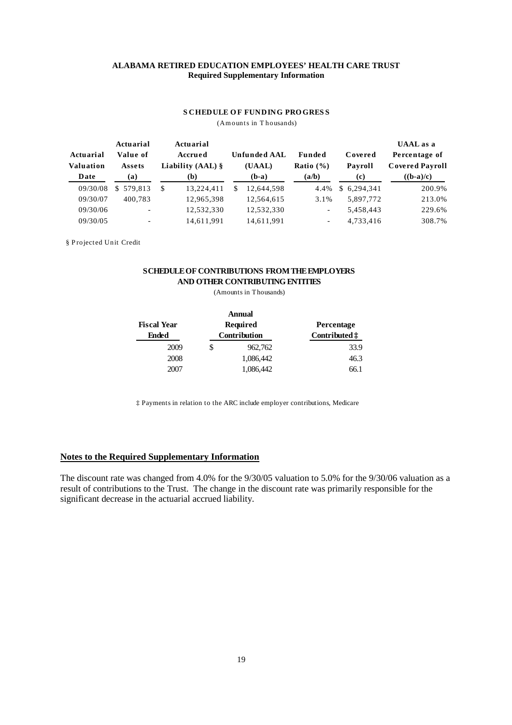#### **ALABAMA RETIRED EDUCATION EMPLOYEES' HEALTH CARE TRUST Required Supplementary Information**

#### **S CHEDULE OF FUNDING PROGRESS**

(Am ounts in T housands)

| Actuarial<br>Valuation<br>Date | Actuarial<br>Value of<br>Assets<br>(a) |    | Actuarial<br>Accrued<br>Liability $(AAL)$ §<br>(b) |   | <b>Unfunded AAL</b><br>(UAAL)<br>$(b-a)$ | Funded<br>Ratio $(\% )$<br>(a/b) | Covered<br>Payroll<br>(c) |             | <b>UAAL</b> as a<br>Percentage of<br><b>Covered Payroll</b><br>$((b-a)/c)$ |  |
|--------------------------------|----------------------------------------|----|----------------------------------------------------|---|------------------------------------------|----------------------------------|---------------------------|-------------|----------------------------------------------------------------------------|--|
| 09/30/08                       | \$579.813                              | -S | 13.224.411                                         | S | 12,644,598                               | 4.4%                             |                           | \$6,294,341 | 200.9%                                                                     |  |
| 09/30/07                       | 400.783                                |    | 12,965,398                                         |   | 12,564,615                               | 3.1%                             |                           | 5.897.772   | 213.0%                                                                     |  |
| 09/30/06                       | ۰                                      |    | 12,532,330                                         |   | 12,532,330                               | $\overline{\phantom{a}}$         |                           | 5,458,443   | 229.6%                                                                     |  |
| 09/30/05                       | -                                      |    | 14,611,991                                         |   | 14,611,991                               | $\overline{\phantom{a}}$         |                           | 4.733.416   | 308.7%                                                                     |  |

§ P rojected Unit Credit

## **SCHEDULEOF CONTRIBUTIONS FROM THEEMPLOYERS AND OTHER CONTRIBUTING ENTITIES**

(Amounts in Thousands)

|                    |   | <b>Annual</b> |                        |
|--------------------|---|---------------|------------------------|
| <b>Fiscal Year</b> |   | Required      | <b>Percentage</b>      |
| Ended              |   | Contribution  | Contributed $\ddagger$ |
| 2009               | S | 962,762       | 33.9                   |
| 2008               |   | 1,086,442     | 46.3                   |
| 2007               |   | 1,086,442     | 66.1                   |

‡ Payments in relation to the ARC include employer contributions, Medicare

## **Notes to the Required Supplementary Information**

The discount rate was changed from 4.0% for the 9/30/05 valuation to 5.0% for the 9/30/06 valuation as a result of contributions to the Trust. The change in the discount rate was primarily responsible for the significant decrease in the actuarial accrued liability.